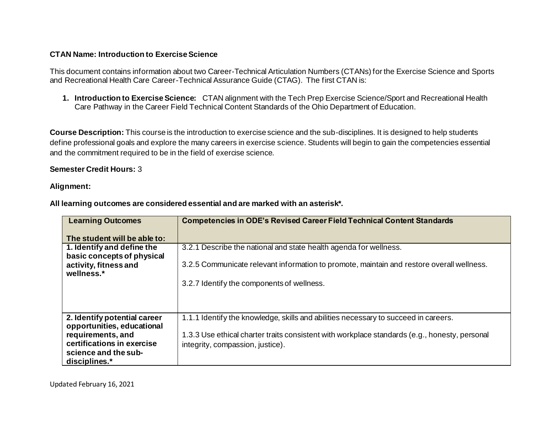# **CTAN Name: Introduction to Exercise Science**

This document contains information about two Career-Technical Articulation Numbers (CTANs) for the Exercise Science and Sports and Recreational Health Care Career-Technical Assurance Guide (CTAG). The first CTAN is:

**1. Introduction to Exercise Science:** CTAN alignment with the Tech Prep Exercise Science/Sport and Recreational Health Care Pathway in the Career Field Technical Content Standards of the Ohio Department of Education.

**Course Description:** This course is the introduction to exercise science and the sub-disciplines. It is designed to help students define professional goals and explore the many careers in exercise science. Students will begin to gain the competencies essential and the commitment required to be in the field of exercise science.

# **Semester Credit Hours:** 3

## **Alignment:**

| <b>Learning Outcomes</b>                                   | <b>Competencies in ODE's Revised Career Field Technical Content Standards</b>                 |
|------------------------------------------------------------|-----------------------------------------------------------------------------------------------|
| The student will be able to:                               |                                                                                               |
| 1. Identify and define the<br>basic concepts of physical   | 3.2.1 Describe the national and state health agenda for wellness.                             |
| activity, fitness and<br>wellness.*                        | 3.2.5 Communicate relevant information to promote, maintain and restore overall wellness.     |
|                                                            | 3.2.7 Identify the components of wellness.                                                    |
|                                                            |                                                                                               |
| 2. Identify potential career<br>opportunities, educational | 1.1.1 Identify the knowledge, skills and abilities necessary to succeed in careers.           |
| requirements, and                                          | 1.3.3 Use ethical charter traits consistent with workplace standards (e.g., honesty, personal |
| certifications in exercise                                 | integrity, compassion, justice).                                                              |
| science and the sub-                                       |                                                                                               |
| disciplines.*                                              |                                                                                               |

**All learning outcomes are considered essential and are marked with an asterisk\*.**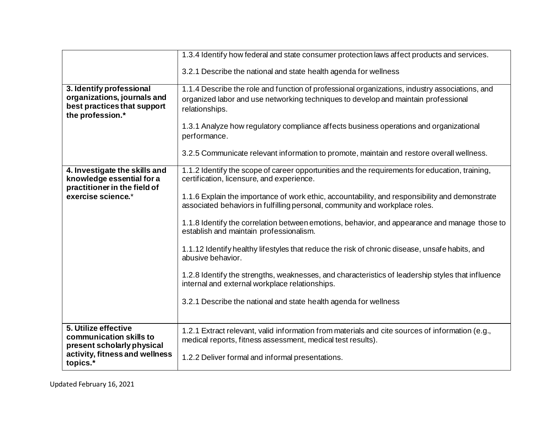|                                                                                                            | 1.3.4 Identify how federal and state consumer protection laws affect products and services.                                                                                                                                                                                                      |
|------------------------------------------------------------------------------------------------------------|--------------------------------------------------------------------------------------------------------------------------------------------------------------------------------------------------------------------------------------------------------------------------------------------------|
|                                                                                                            | 3.2.1 Describe the national and state health agenda for wellness                                                                                                                                                                                                                                 |
| 3. Identify professional<br>organizations, journals and<br>best practices that support<br>the profession.* | 1.1.4 Describe the role and function of professional organizations, industry associations, and<br>organized labor and use networking techniques to develop and maintain professional<br>relationships.<br>1.3.1 Analyze how regulatory compliance affects business operations and organizational |
|                                                                                                            | performance.<br>3.2.5 Communicate relevant information to promote, maintain and restore overall wellness.                                                                                                                                                                                        |
| 4. Investigate the skills and<br>knowledge essential for a<br>practitioner in the field of                 | 1.1.2 Identify the scope of career opportunities and the requirements for education, training,<br>certification, licensure, and experience.                                                                                                                                                      |
| exercise science.*                                                                                         | 1.1.6 Explain the importance of work ethic, accountability, and responsibility and demonstrate<br>associated behaviors in fulfilling personal, community and workplace roles.                                                                                                                    |
|                                                                                                            | 1.1.8 Identify the correlation between emotions, behavior, and appearance and manage those to<br>establish and maintain professionalism.                                                                                                                                                         |
|                                                                                                            | 1.1.12 Identify healthy lifestyles that reduce the risk of chronic disease, unsafe habits, and<br>abusive behavior.                                                                                                                                                                              |
|                                                                                                            | 1.2.8 Identify the strengths, weaknesses, and characteristics of leadership styles that influence<br>internal and external workplace relationships.                                                                                                                                              |
|                                                                                                            | 3.2.1 Describe the national and state health agenda for wellness                                                                                                                                                                                                                                 |
| 5. Utilize effective<br>communication skills to<br>present scholarly physical                              | 1.2.1 Extract relevant, valid information from materials and cite sources of information (e.g.,<br>medical reports, fitness assessment, medical test results).                                                                                                                                   |
| activity, fitness and wellness<br>topics.*                                                                 | 1.2.2 Deliver formal and informal presentations.                                                                                                                                                                                                                                                 |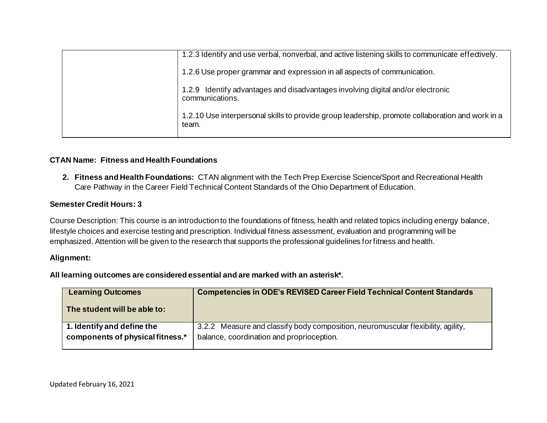| 1.2.3 Identify and use verbal, nonverbal, and active listening skills to communicate effectively.         |
|-----------------------------------------------------------------------------------------------------------|
| 1.2.6 Use proper grammar and expression in all aspects of communication.                                  |
| 1.2.9 Identify advantages and disadvantages involving digital and/or electronic<br>communications.        |
| 1.2.10 Use interpersonal skills to provide group leadership, promote collaboration and work in a<br>team. |

## **CTAN Name: Fitness and Health Foundations**

**2. Fitness and Health Foundations:** CTAN alignment with the Tech Prep Exercise Science/Sport and Recreational Health Care Pathway in the Career Field Technical Content Standards of the Ohio Department of Education.

#### **Semester Credit Hours: 3**

Course Description: This course is an introduction to the foundations of fitness, health and related topics including energy balance, lifestyle choices and exercise testing and prescription. Individual fitness assessment, evaluation and programming will be emphasized. Attention will be given to the research that supports the professional guidelines for fitness and health.

#### **Alignment:**

**All learning outcomes are considered essential and are marked with an asterisk\*.**

| <b>Learning Outcomes</b>         | <b>Competencies in ODE's REVISED Career Field Technical Content Standards</b>    |
|----------------------------------|----------------------------------------------------------------------------------|
| The student will be able to:     |                                                                                  |
| 1. Identify and define the       | 3.2.2 Measure and classify body composition, neuromuscular flexibility, agility, |
| components of physical fitness.* | balance, coordination and proprioception.                                        |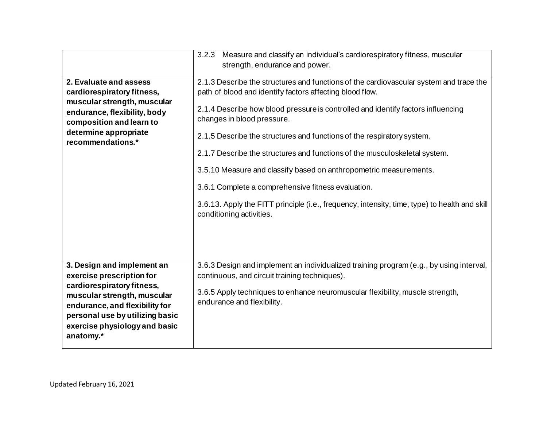|                                                                                                                                                                                                                                         | 3.2.3 Measure and classify an individual's cardiorespiratory fitness, muscular<br>strength, endurance and power.                                                                                                                                                                                                                                                                                                                                                                                                                                                                                                                                                                     |
|-----------------------------------------------------------------------------------------------------------------------------------------------------------------------------------------------------------------------------------------|--------------------------------------------------------------------------------------------------------------------------------------------------------------------------------------------------------------------------------------------------------------------------------------------------------------------------------------------------------------------------------------------------------------------------------------------------------------------------------------------------------------------------------------------------------------------------------------------------------------------------------------------------------------------------------------|
| 2. Evaluate and assess<br>cardiorespiratory fitness,<br>muscular strength, muscular<br>endurance, flexibility, body<br>composition and learn to<br>determine appropriate<br>recommendations.*                                           | 2.1.3 Describe the structures and functions of the cardiovascular system and trace the<br>path of blood and identify factors affecting blood flow.<br>2.1.4 Describe how blood pressure is controlled and identify factors influencing<br>changes in blood pressure.<br>2.1.5 Describe the structures and functions of the respiratory system.<br>2.1.7 Describe the structures and functions of the musculoskeletal system.<br>3.5.10 Measure and classify based on anthropometric measurements.<br>3.6.1 Complete a comprehensive fitness evaluation.<br>3.6.13. Apply the FITT principle (i.e., frequency, intensity, time, type) to health and skill<br>conditioning activities. |
| 3. Design and implement an<br>exercise prescription for<br>cardiorespiratory fitness,<br>muscular strength, muscular<br>endurance, and flexibility for<br>personal use by utilizing basic<br>exercise physiology and basic<br>anatomy.* | 3.6.3 Design and implement an individualized training program (e.g., by using interval,<br>continuous, and circuit training techniques).<br>3.6.5 Apply techniques to enhance neuromuscular flexibility, muscle strength,<br>endurance and flexibility.                                                                                                                                                                                                                                                                                                                                                                                                                              |